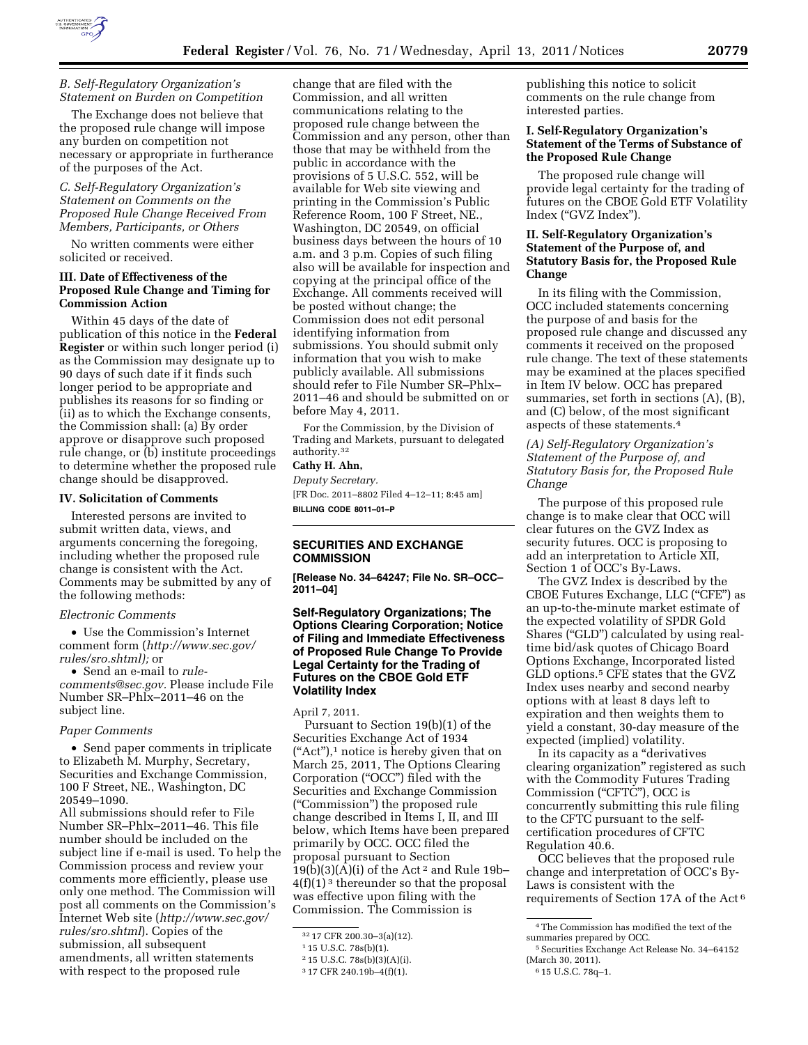

#### *B. Self-Regulatory Organization's Statement on Burden on Competition*

The Exchange does not believe that the proposed rule change will impose any burden on competition not necessary or appropriate in furtherance of the purposes of the Act.

*C. Self-Regulatory Organization's Statement on Comments on the Proposed Rule Change Received From Members, Participants, or Others* 

No written comments were either solicited or received.

## **III. Date of Effectiveness of the Proposed Rule Change and Timing for Commission Action**

Within 45 days of the date of publication of this notice in the **Federal Register** or within such longer period (i) as the Commission may designate up to 90 days of such date if it finds such longer period to be appropriate and publishes its reasons for so finding or (ii) as to which the Exchange consents, the Commission shall: (a) By order approve or disapprove such proposed rule change, or (b) institute proceedings to determine whether the proposed rule change should be disapproved.

## **IV. Solicitation of Comments**

Interested persons are invited to submit written data, views, and arguments concerning the foregoing, including whether the proposed rule change is consistent with the Act. Comments may be submitted by any of the following methods:

#### *Electronic Comments*

• Use the Commission's Internet comment form (*[http://www.sec.gov/](http://www.sec.gov/rules/sro.shtml)  [rules/sro.shtml\);](http://www.sec.gov/rules/sro.shtml)* or

• Send an e-mail to *[rule](mailto:rule-comments@sec.gov)[comments@sec.gov.](mailto:rule-comments@sec.gov)* Please include File Number SR–Phlx–2011–46 on the subject line.

#### *Paper Comments*

• Send paper comments in triplicate to Elizabeth M. Murphy, Secretary, Securities and Exchange Commission, 100 F Street, NE., Washington, DC 20549–1090.

All submissions should refer to File Number SR–Phlx–2011–46. This file number should be included on the subject line if e-mail is used. To help the Commission process and review your comments more efficiently, please use only one method. The Commission will post all comments on the Commission's Internet Web site (*[http://www.sec.gov/](http://www.sec.gov/rules/sro.shtml)  [rules/sro.shtml](http://www.sec.gov/rules/sro.shtml)*). Copies of the submission, all subsequent amendments, all written statements with respect to the proposed rule

change that are filed with the Commission, and all written communications relating to the proposed rule change between the Commission and any person, other than those that may be withheld from the public in accordance with the provisions of 5 U.S.C. 552, will be available for Web site viewing and printing in the Commission's Public Reference Room, 100 F Street, NE., Washington, DC 20549, on official business days between the hours of 10 a.m. and 3 p.m. Copies of such filing also will be available for inspection and copying at the principal office of the Exchange. All comments received will be posted without change; the Commission does not edit personal identifying information from submissions. You should submit only information that you wish to make publicly available. All submissions should refer to File Number SR–Phlx– 2011–46 and should be submitted on or before May 4, 2011.

For the Commission, by the Division of Trading and Markets, pursuant to delegated authority.32

## **Cathy H. Ahn,**

*Deputy Secretary.*  [FR Doc. 2011–8802 Filed 4–12–11; 8:45 am] **BILLING CODE 8011–01–P** 

# **SECURITIES AND EXCHANGE COMMISSION**

**[Release No. 34–64247; File No. SR–OCC– 2011–04]** 

## **Self-Regulatory Organizations; The Options Clearing Corporation; Notice of Filing and Immediate Effectiveness of Proposed Rule Change To Provide Legal Certainty for the Trading of Futures on the CBOE Gold ETF Volatility Index**

#### April 7, 2011.

Pursuant to Section 19(b)(1) of the Securities Exchange Act of 1934  $("Act")$ ,<sup>1</sup> notice is hereby given that on March 25, 2011, The Options Clearing Corporation (''OCC'') filed with the Securities and Exchange Commission (''Commission'') the proposed rule change described in Items I, II, and III below, which Items have been prepared primarily by OCC. OCC filed the proposal pursuant to Section  $19(b)(3)(A)(i)$  of the Act<sup>2</sup> and Rule 19b-4(f)(1) 3 thereunder so that the proposal was effective upon filing with the Commission. The Commission is

publishing this notice to solicit comments on the rule change from interested parties.

#### **I. Self-Regulatory Organization's Statement of the Terms of Substance of the Proposed Rule Change**

The proposed rule change will provide legal certainty for the trading of futures on the CBOE Gold ETF Volatility Index (''GVZ Index'').

## **II. Self-Regulatory Organization's Statement of the Purpose of, and Statutory Basis for, the Proposed Rule Change**

In its filing with the Commission, OCC included statements concerning the purpose of and basis for the proposed rule change and discussed any comments it received on the proposed rule change. The text of these statements may be examined at the places specified in Item IV below. OCC has prepared summaries, set forth in sections (A), (B), and (C) below, of the most significant aspects of these statements.4

## *(A) Self-Regulatory Organization's Statement of the Purpose of, and Statutory Basis for, the Proposed Rule Change*

The purpose of this proposed rule change is to make clear that OCC will clear futures on the GVZ Index as security futures. OCC is proposing to add an interpretation to Article XII, Section 1 of OCC's By-Laws.

The GVZ Index is described by the CBOE Futures Exchange, LLC (''CFE'') as an up-to-the-minute market estimate of the expected volatility of SPDR Gold Shares ("GLD") calculated by using realtime bid/ask quotes of Chicago Board Options Exchange, Incorporated listed GLD options.5 CFE states that the GVZ Index uses nearby and second nearby options with at least 8 days left to expiration and then weights them to yield a constant, 30-day measure of the expected (implied) volatility.

In its capacity as a "derivatives clearing organization'' registered as such with the Commodity Futures Trading Commission (''CFTC''), OCC is concurrently submitting this rule filing to the CFTC pursuant to the selfcertification procedures of CFTC Regulation 40.6.

OCC believes that the proposed rule change and interpretation of OCC's By-Laws is consistent with the requirements of Section 17A of the Act 6

<sup>32</sup> 17 CFR 200.30–3(a)(12).

<sup>1</sup> 15 U.S.C. 78s(b)(1).

<sup>2</sup> 15 U.S.C. 78s(b)(3)(A)(i).

<sup>3</sup> 17 CFR 240.19b–4(f)(1).

<sup>4</sup>The Commission has modified the text of the summaries prepared by OCC.

<sup>5</sup>Securities Exchange Act Release No. 34–64152 (March 30, 2011).

<sup>6</sup> 15 U.S.C. 78q–1.